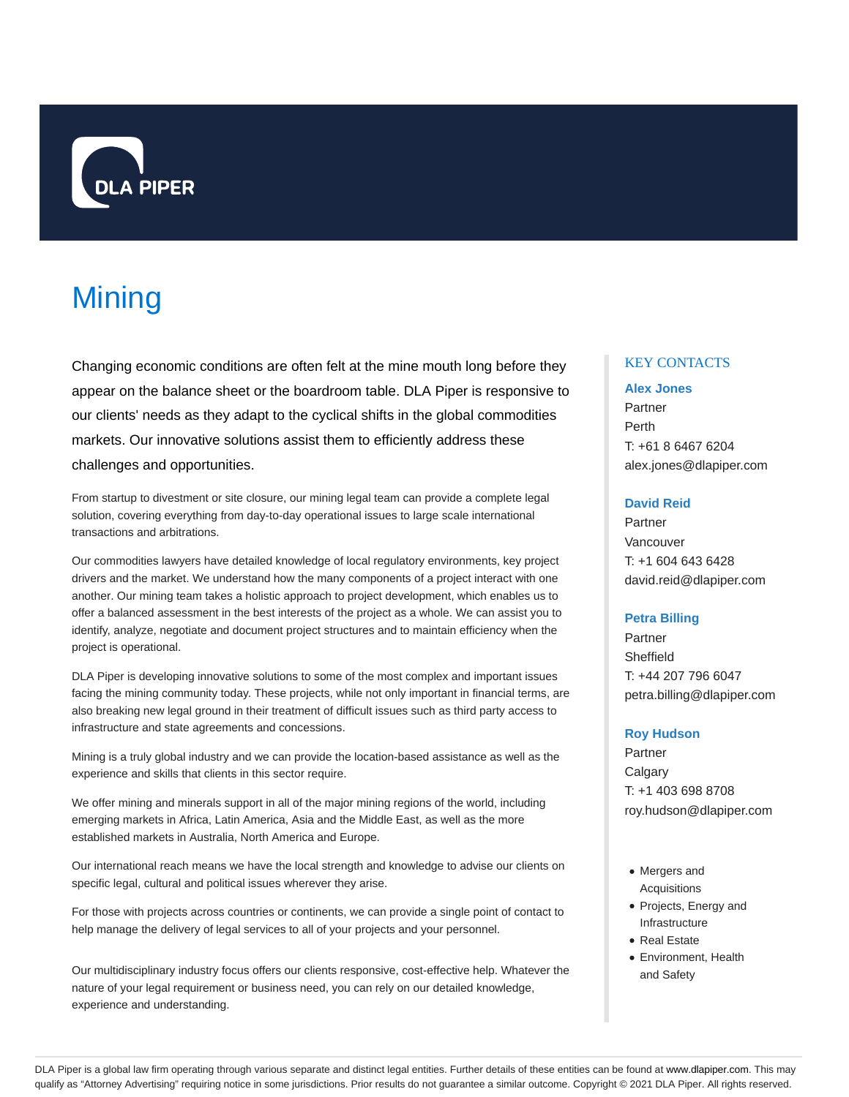

# **Mining**

Changing economic conditions are often felt at the mine mouth long before they appear on the balance sheet or the boardroom table. DLA Piper is responsive to our clients' needs as they adapt to the cyclical shifts in the global commodities markets. Our innovative solutions assist them to efficiently address these challenges and opportunities.

From startup to divestment or site closure, our mining legal team can provide a complete legal solution, covering everything from day-to-day operational issues to large scale international transactions and arbitrations.

Our commodities lawyers have detailed knowledge of local regulatory environments, key project drivers and the market. We understand how the many components of a project interact with one another. Our mining team takes a holistic approach to project development, which enables us to offer a balanced assessment in the best interests of the project as a whole. We can assist you to identify, analyze, negotiate and document project structures and to maintain efficiency when the project is operational.

DLA Piper is developing innovative solutions to some of the most complex and important issues facing the mining community today. These projects, while not only important in financial terms, are also breaking new legal ground in their treatment of difficult issues such as third party access to infrastructure and state agreements and concessions.

Mining is a truly global industry and we can provide the location-based assistance as well as the experience and skills that clients in this sector require.

We offer mining and minerals support in all of the major mining regions of the world, including emerging markets in Africa, Latin America, Asia and the Middle East, as well as the more established markets in Australia, North America and Europe.

Our international reach means we have the local strength and knowledge to advise our clients on specific legal, cultural and political issues wherever they arise.

For those with projects across countries or continents, we can provide a single point of contact to help manage the delivery of legal services to all of your projects and your personnel.

Our multidisciplinary industry focus offers our clients responsive, cost-effective help. Whatever the nature of your legal requirement or business need, you can rely on our detailed knowledge, experience and understanding.

# KEY CONTACTS

## **Alex Jones**

Partner Perth T: +61 8 6467 6204 alex.jones@dlapiper.com

# **David Reid**

Partner Vancouver T: +1 604 643 6428 david.reid@dlapiper.com

# **Petra Billing**

Partner Sheffield T: +44 207 796 6047 petra.billing@dlapiper.com

## **Roy Hudson**

Partner **Calgary** T: +1 403 698 8708 roy.hudson@dlapiper.com

- Mergers and Acquisitions
- Projects, Energy and Infrastructure
- Real Estate
- Environment, Health and Safety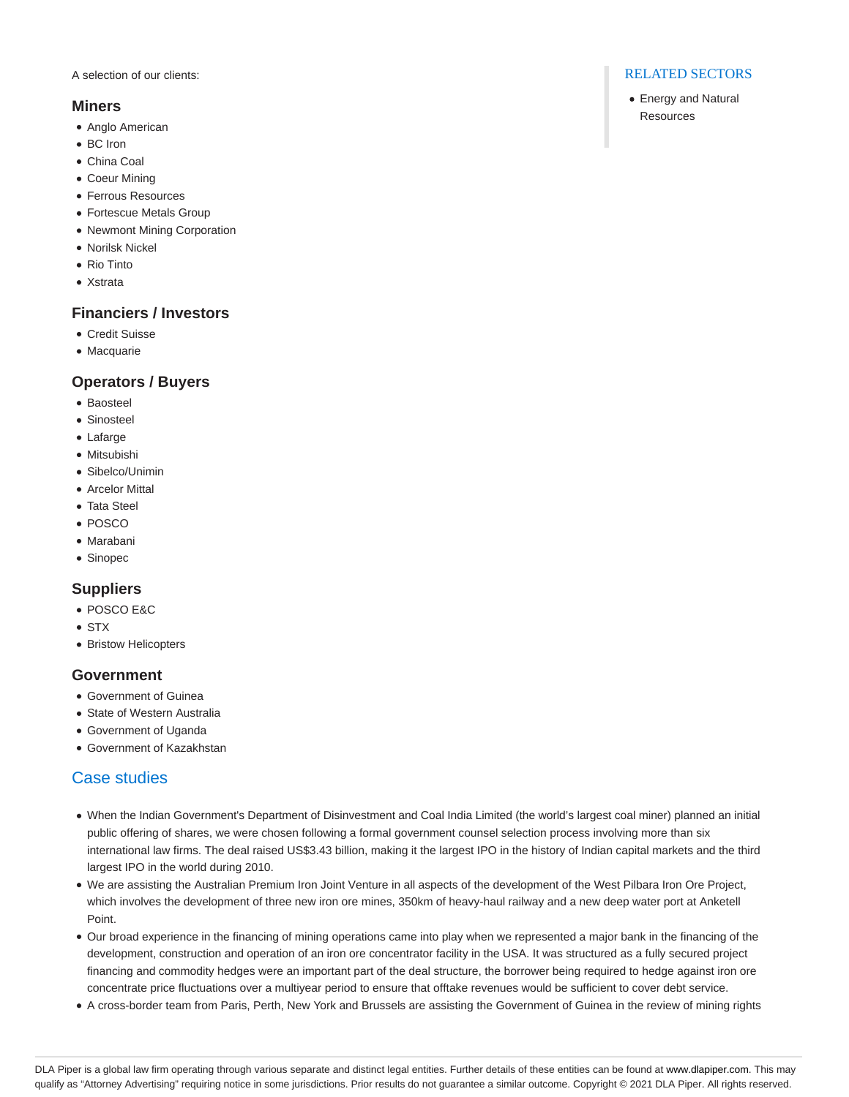A selection of our clients:

# **Miners**

- Anglo American
- BC Iron
- China Coal
- Coeur Mining
- Ferrous Resources
- Fortescue Metals Group
- Newmont Mining Corporation
- Norilsk Nickel
- Rio Tinto
- Xstrata

# **Financiers / Investors**

- Credit Suisse
- Macquarie

# **Operators / Buyers**

- Baosteel
- Sinosteel
- Lafarge
- Mitsubishi
- Sibelco/Unimin
- Arcelor Mittal
- Tata Steel
- POSCO
- Marabani
- Sinopec

# **Suppliers**

- POSCO E&C
- STX
- Bristow Helicopters

# **Government**

- Government of Guinea
- State of Western Australia
- Government of Uganda
- Government of Kazakhstan

# Case studies

- When the Indian Government's Department of Disinvestment and Coal India Limited (the world's largest coal miner) planned an initial public offering of shares, we were chosen following a formal government counsel selection process involving more than six international law firms. The deal raised US\$3.43 billion, making it the largest IPO in the history of Indian capital markets and the third largest IPO in the world during 2010.
- We are assisting the Australian Premium Iron Joint Venture in all aspects of the development of the West Pilbara Iron Ore Project, which involves the development of three new iron ore mines, 350km of heavy-haul railway and a new deep water port at Anketell Point.
- Our broad experience in the financing of mining operations came into play when we represented a major bank in the financing of the development, construction and operation of an iron ore concentrator facility in the USA. It was structured as a fully secured project financing and commodity hedges were an important part of the deal structure, the borrower being required to hedge against iron ore concentrate price fluctuations over a multiyear period to ensure that offtake revenues would be sufficient to cover debt service.
- A cross-border team from Paris, Perth, New York and Brussels are assisting the Government of Guinea in the review of mining rights

# RELATED SECTORS

Energy and Natural **Resources**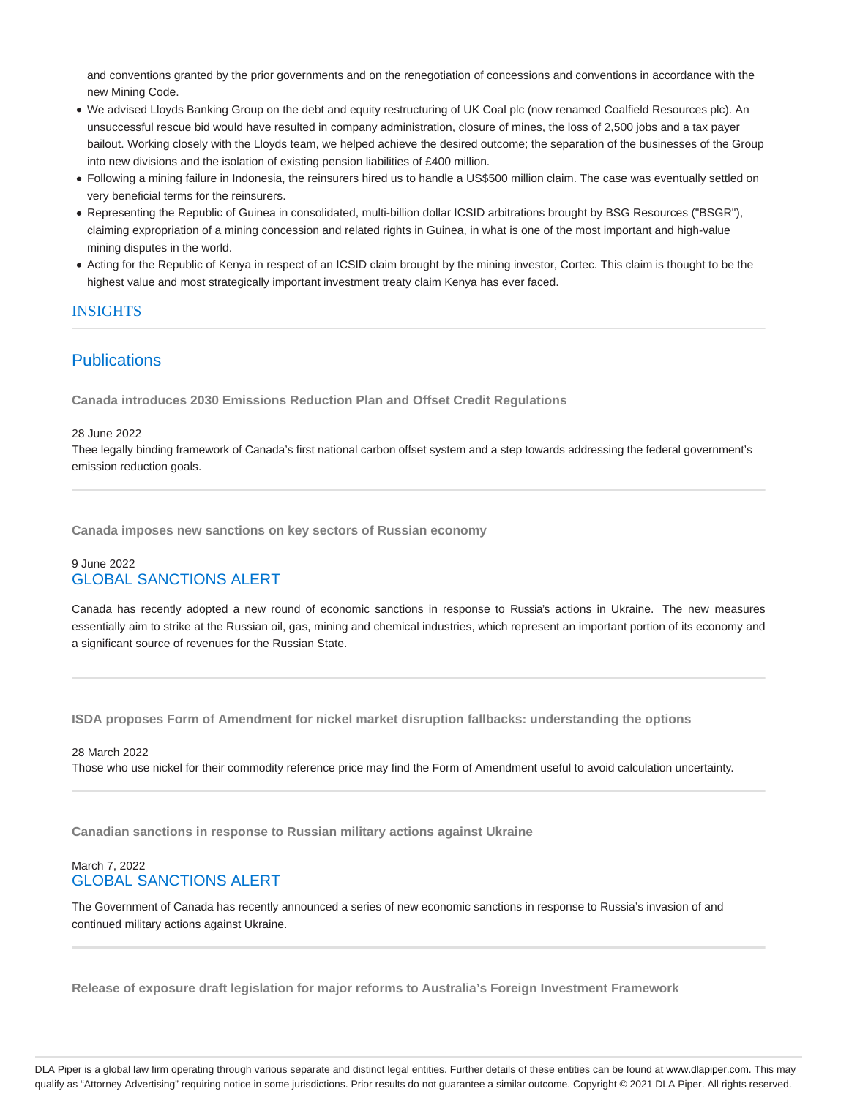and conventions granted by the prior governments and on the renegotiation of concessions and conventions in accordance with the new Mining Code.

- We advised Lloyds Banking Group on the debt and equity restructuring of UK Coal plc (now renamed Coalfield Resources plc). An unsuccessful rescue bid would have resulted in company administration, closure of mines, the loss of 2,500 jobs and a tax payer bailout. Working closely with the Lloyds team, we helped achieve the desired outcome; the separation of the businesses of the Group into new divisions and the isolation of existing pension liabilities of £400 million.
- Following a mining failure in Indonesia, the reinsurers hired us to handle a US\$500 million claim. The case was eventually settled on very beneficial terms for the reinsurers.
- Representing the Republic of Guinea in consolidated, multi-billion dollar ICSID arbitrations brought by BSG Resources ("BSGR"), claiming expropriation of a mining concession and related rights in Guinea, in what is one of the most important and high-value mining disputes in the world.
- Acting for the Republic of Kenya in respect of an ICSID claim brought by the mining investor, Cortec. This claim is thought to be the highest value and most strategically important investment treaty claim Kenya has ever faced.

# **INSIGHTS**

# **Publications**

**Canada introduces 2030 Emissions Reduction Plan and Offset Credit Regulations**

#### 28 June 2022

Thee legally binding framework of Canada's first national carbon offset system and a step towards addressing the federal government's emission reduction goals.

**Canada imposes new sanctions on key sectors of Russian economy**

# 9 June 2022 GLOBAL SANCTIONS ALERT

Canada has recently adopted a new round of economic sanctions in response to Russia's actions in Ukraine. The new measures essentially aim to strike at the Russian oil, gas, mining and chemical industries, which represent an important portion of its economy and a significant source of revenues for the Russian State.

**ISDA proposes Form of Amendment for nickel market disruption fallbacks: understanding the options**

# 28 March 2022

Those who use nickel for their commodity reference price may find the Form of Amendment useful to avoid calculation uncertainty.

**Canadian sanctions in response to Russian military actions against Ukraine**

# March 7, 2022 GLOBAL SANCTIONS ALERT

The Government of Canada has recently announced a series of new economic sanctions in response to Russia's invasion of and continued military actions against Ukraine.

**Release of exposure draft legislation for major reforms to Australia's Foreign Investment Framework**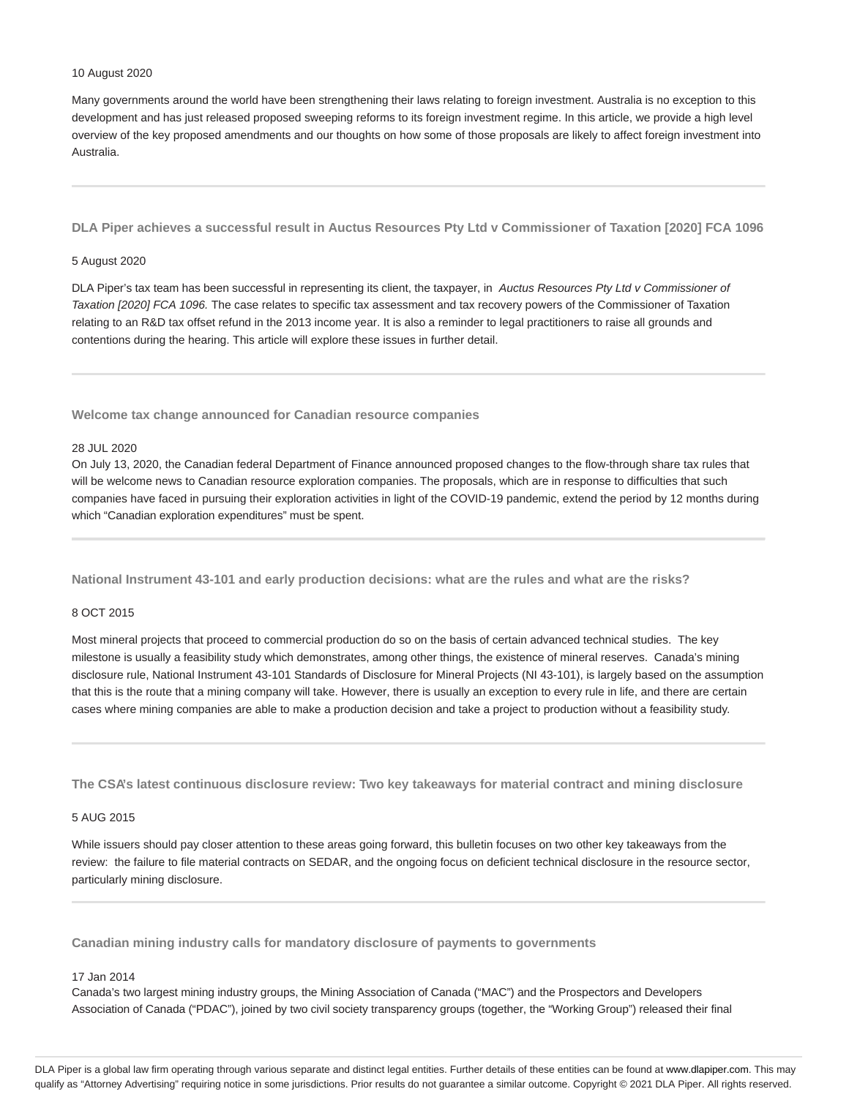#### 10 August 2020

Many governments around the world have been strengthening their laws relating to foreign investment. Australia is no exception to this development and has just released proposed sweeping reforms to its foreign investment regime. In this article, we provide a high level overview of the key proposed amendments and our thoughts on how some of those proposals are likely to affect foreign investment into Australia.

**DLA Piper achieves a successful result in Auctus Resources Pty Ltd v Commissioner of Taxation [2020] FCA 1096**

#### 5 August 2020

DLA Piper's tax team has been successful in representing its client, the taxpayer, in Auctus Resources Pty Ltd v Commissioner of Taxation [2020] FCA 1096. The case relates to specific tax assessment and tax recovery powers of the Commissioner of Taxation relating to an R&D tax offset refund in the 2013 income year. It is also a reminder to legal practitioners to raise all grounds and contentions during the hearing. This article will explore these issues in further detail.

**Welcome tax change announced for Canadian resource companies**

## 28 JUL 2020

On July 13, 2020, the Canadian federal Department of Finance announced proposed changes to the flow-through share tax rules that will be welcome news to Canadian resource exploration companies. The proposals, which are in response to difficulties that such companies have faced in pursuing their exploration activities in light of the COVID-19 pandemic, extend the period by 12 months during which "Canadian exploration expenditures" must be spent.

**National Instrument 43-101 and early production decisions: what are the rules and what are the risks?**

#### 8 OCT 2015

Most mineral projects that proceed to commercial production do so on the basis of certain advanced technical studies. The key milestone is usually a feasibility study which demonstrates, among other things, the existence of mineral reserves. Canada's mining disclosure rule, National Instrument 43-101 Standards of Disclosure for Mineral Projects (NI 43-101), is largely based on the assumption that this is the route that a mining company will take. However, there is usually an exception to every rule in life, and there are certain cases where mining companies are able to make a production decision and take a project to production without a feasibility study.

**The CSA's latest continuous disclosure review: Two key takeaways for material contract and mining disclosure**

## 5 AUG 2015

While issuers should pay closer attention to these areas going forward, this bulletin focuses on two other key takeaways from the review: the failure to file material contracts on SEDAR, and the ongoing focus on deficient technical disclosure in the resource sector, particularly mining disclosure.

**Canadian mining industry calls for mandatory disclosure of payments to governments**

# 17 Jan 2014

Canada's two largest mining industry groups, the Mining Association of Canada ("MAC") and the Prospectors and Developers Association of Canada ("PDAC"), joined by two civil society transparency groups (together, the "Working Group") released their final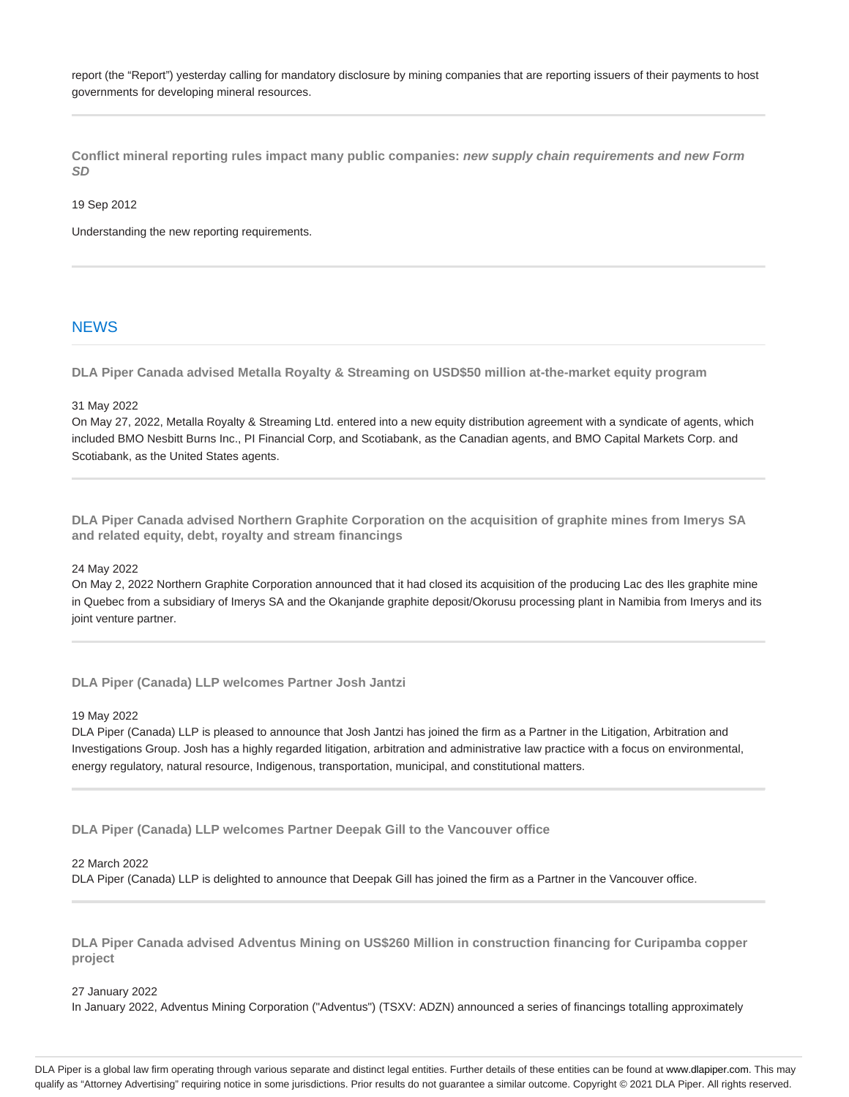report (the "Report") yesterday calling for mandatory disclosure by mining companies that are reporting issuers of their payments to host governments for developing mineral resources.

**Conflict mineral reporting rules impact many public companies: new supply chain requirements and new Form SD**

19 Sep 2012

Understanding the new reporting requirements.

# **NEWS**

**DLA Piper Canada advised Metalla Royalty & Streaming on USD\$50 million at-the-market equity program**

31 May 2022

On May 27, 2022, Metalla Royalty & Streaming Ltd. entered into a new equity distribution agreement with a syndicate of agents, which included BMO Nesbitt Burns Inc., PI Financial Corp, and Scotiabank, as the Canadian agents, and BMO Capital Markets Corp. and Scotiabank, as the United States agents.

**DLA Piper Canada advised Northern Graphite Corporation on the acquisition of graphite mines from Imerys SA and related equity, debt, royalty and stream financings**

#### 24 May 2022

On May 2, 2022 Northern Graphite Corporation announced that it had closed its acquisition of the producing Lac des Iles graphite mine in Quebec from a subsidiary of Imerys SA and the Okanjande graphite deposit/Okorusu processing plant in Namibia from Imerys and its joint venture partner.

**DLA Piper (Canada) LLP welcomes Partner Josh Jantzi**

#### 19 May 2022

DLA Piper (Canada) LLP is pleased to announce that Josh Jantzi has joined the firm as a Partner in the Litigation, Arbitration and Investigations Group. Josh has a highly regarded litigation, arbitration and administrative law practice with a focus on environmental, energy regulatory, natural resource, Indigenous, transportation, municipal, and constitutional matters.

**DLA Piper (Canada) LLP welcomes Partner Deepak Gill to the Vancouver office**

#### 22 March 2022

DLA Piper (Canada) LLP is delighted to announce that Deepak Gill has joined the firm as a Partner in the Vancouver office.

**DLA Piper Canada advised Adventus Mining on US\$260 Million in construction financing for Curipamba copper project** 

#### 27 January 2022

In January 2022, Adventus Mining Corporation ("Adventus") (TSXV: ADZN) announced a series of financings totalling approximately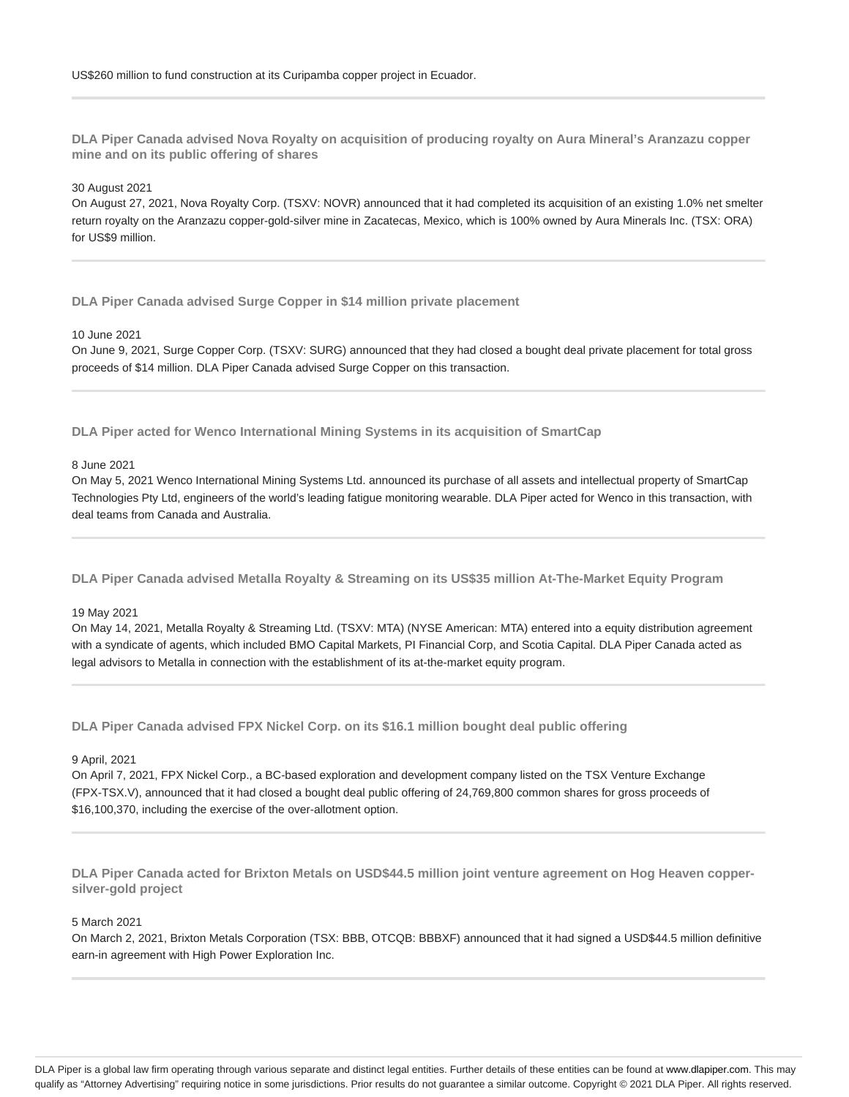**DLA Piper Canada advised Nova Royalty on acquisition of producing royalty on Aura Mineral's Aranzazu copper mine and on its public offering of shares**

#### 30 August 2021

On August 27, 2021, Nova Royalty Corp. (TSXV: NOVR) announced that it had completed its acquisition of an existing 1.0% net smelter return royalty on the Aranzazu copper-gold-silver mine in Zacatecas, Mexico, which is 100% owned by Aura Minerals Inc. (TSX: ORA) for US\$9 million.

**DLA Piper Canada advised Surge Copper in \$14 million private placement**

# 10 June 2021

On June 9, 2021, Surge Copper Corp. (TSXV: SURG) announced that they had closed a bought deal private placement for total gross proceeds of \$14 million. DLA Piper Canada advised Surge Copper on this transaction.

**DLA Piper acted for Wenco International Mining Systems in its acquisition of SmartCap**

## 8 June 2021

On May 5, 2021 Wenco International Mining Systems Ltd. announced its purchase of all assets and intellectual property of SmartCap Technologies Pty Ltd, engineers of the world's leading fatigue monitoring wearable. DLA Piper acted for Wenco in this transaction, with deal teams from Canada and Australia.

**DLA Piper Canada advised Metalla Royalty & Streaming on its US\$35 million At-The-Market Equity Program**

#### 19 May 2021

On May 14, 2021, Metalla Royalty & Streaming Ltd. (TSXV: MTA) (NYSE American: MTA) entered into a equity distribution agreement with a syndicate of agents, which included BMO Capital Markets, PI Financial Corp, and Scotia Capital. DLA Piper Canada acted as legal advisors to Metalla in connection with the establishment of its at-the-market equity program.

**DLA Piper Canada advised FPX Nickel Corp. on its \$16.1 million bought deal public offering**

#### 9 April, 2021

On April 7, 2021, FPX Nickel Corp., a BC-based exploration and development company listed on the TSX Venture Exchange (FPX-TSX.V), announced that it had closed a bought deal public offering of 24,769,800 common shares for gross proceeds of \$16,100,370, including the exercise of the over-allotment option.

**DLA Piper Canada acted for Brixton Metals on USD\$44.5 million joint venture agreement on Hog Heaven coppersilver-gold project**

# 5 March 2021

On March 2, 2021, Brixton Metals Corporation (TSX: BBB, OTCQB: BBBXF) announced that it had signed a USD\$44.5 million definitive earn-in agreement with High Power Exploration Inc.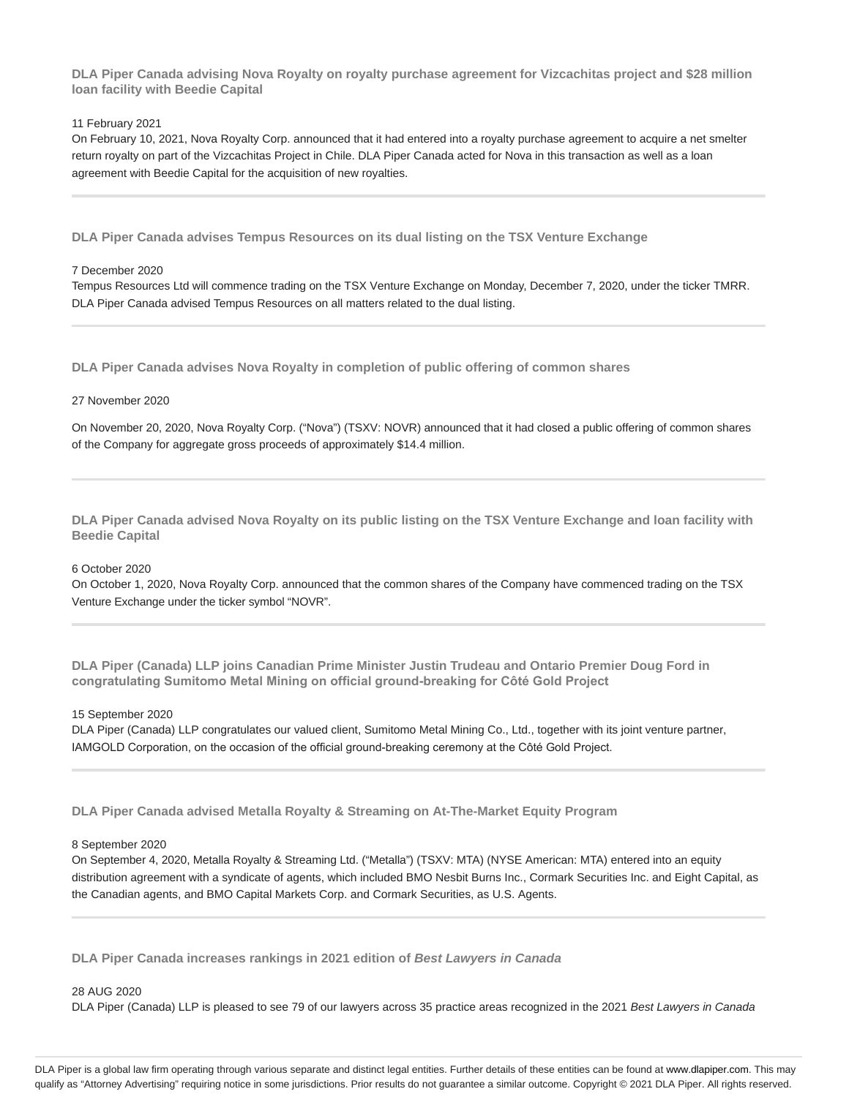**DLA Piper Canada advising Nova Royalty on royalty purchase agreement for Vizcachitas project and \$28 million loan facility with Beedie Capital**

## 11 February 2021

On February 10, 2021, Nova Royalty Corp. announced that it had entered into a royalty purchase agreement to acquire a net smelter return royalty on part of the Vizcachitas Project in Chile. DLA Piper Canada acted for Nova in this transaction as well as a loan agreement with Beedie Capital for the acquisition of new royalties.

**DLA Piper Canada advises Tempus Resources on its dual listing on the TSX Venture Exchange**

## 7 December 2020

Tempus Resources Ltd will commence trading on the TSX Venture Exchange on Monday, December 7, 2020, under the ticker TMRR. DLA Piper Canada advised Tempus Resources on all matters related to the dual listing.

**DLA Piper Canada advises Nova Royalty in completion of public offering of common shares**

## 27 November 2020

On November 20, 2020, Nova Royalty Corp. ("Nova") (TSXV: NOVR) announced that it had closed a public offering of common shares of the Company for aggregate gross proceeds of approximately \$14.4 million.

**DLA Piper Canada advised Nova Royalty on its public listing on the TSX Venture Exchange and loan facility with Beedie Capital**

## 6 October 2020

On October 1, 2020, Nova Royalty Corp. announced that the common shares of the Company have commenced trading on the TSX Venture Exchange under the ticker symbol "NOVR".

**DLA Piper (Canada) LLP joins Canadian Prime Minister Justin Trudeau and Ontario Premier Doug Ford in congratulating Sumitomo Metal Mining on official ground-breaking for Côté Gold Project**

## 15 September 2020

DLA Piper (Canada) LLP congratulates our valued client, Sumitomo Metal Mining Co., Ltd., together with its joint venture partner, IAMGOLD Corporation, on the occasion of the official ground-breaking ceremony at the Côté Gold Project.

**DLA Piper Canada advised Metalla Royalty & Streaming on At-The-Market Equity Program**

## 8 September 2020

On September 4, 2020, Metalla Royalty & Streaming Ltd. ("Metalla") (TSXV: MTA) (NYSE American: MTA) entered into an equity distribution agreement with a syndicate of agents, which included BMO Nesbit Burns Inc., Cormark Securities Inc. and Eight Capital, as the Canadian agents, and BMO Capital Markets Corp. and Cormark Securities, as U.S. Agents.

**DLA Piper Canada increases rankings in 2021 edition of Best Lawyers in Canada**

# 28 AUG 2020

DLA Piper (Canada) LLP is pleased to see 79 of our lawyers across 35 practice areas recognized in the 2021 Best Lawyers in Canada